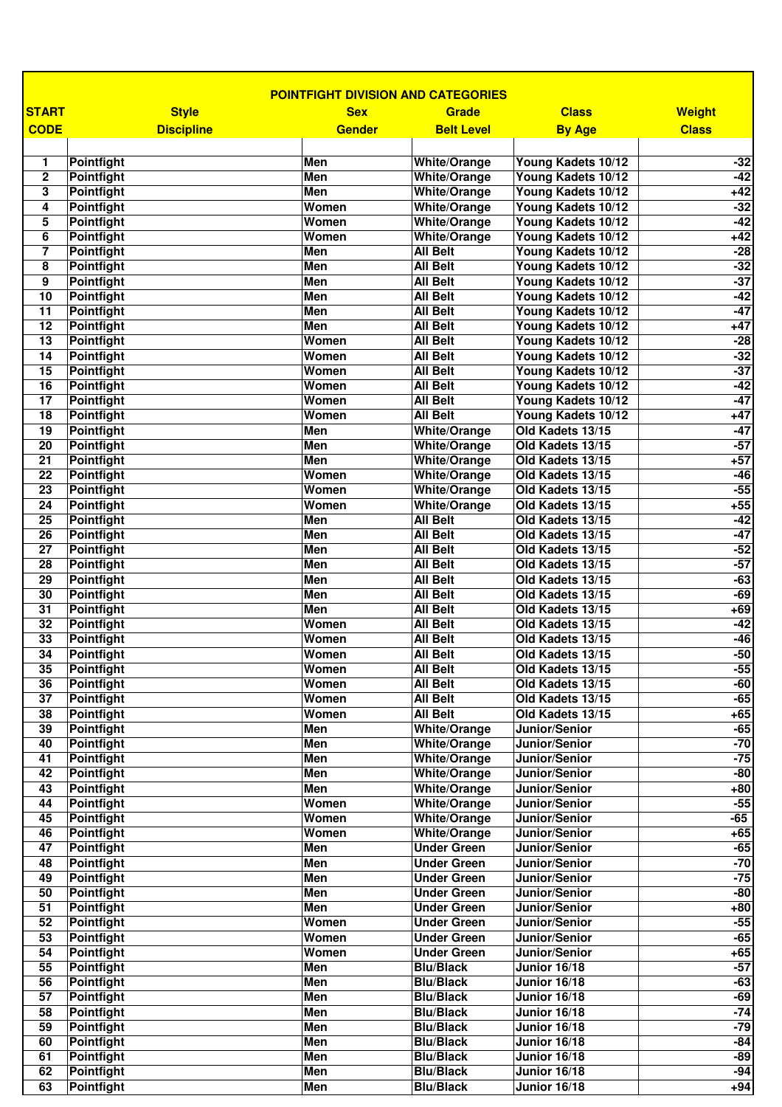| <b>POINTFIGHT DIVISION AND CATEGORIES</b> |                                 |                   |                                            |                                            |                  |  |
|-------------------------------------------|---------------------------------|-------------------|--------------------------------------------|--------------------------------------------|------------------|--|
| <b>START</b>                              | <b>Style</b>                    | <b>Sex</b>        | <b>Grade</b>                               | <b>Class</b>                               | <b>Weight</b>    |  |
| <b>CODE</b>                               | <b>Discipline</b>               | <b>Gender</b>     | <b>Belt Level</b>                          | <b>By Age</b>                              | <b>Class</b>     |  |
|                                           |                                 |                   |                                            |                                            |                  |  |
| $\mathbf{1}$                              | Pointfight                      | Men               | <b>White/Orange</b>                        | Young Kadets 10/12                         | $-32$            |  |
| 2                                         | Pointfight                      | <b>Men</b>        | <b>White/Orange</b>                        | Young Kadets 10/12                         | $-42$            |  |
| 3                                         | <b>Pointfight</b>               | Men               | <b>White/Orange</b>                        | Young Kadets 10/12                         | $+42$            |  |
| 4                                         | <b>Pointfight</b>               | Women             | <b>White/Orange</b>                        | Young Kadets 10/12                         | $\overline{-32}$ |  |
| 5                                         | <b>Pointfight</b>               | Women             | White/Orange                               | Young Kadets 10/12                         | $-42$            |  |
| 6                                         | <b>Pointfight</b>               | Women             | <b>White/Orange</b>                        | Young Kadets 10/12                         | $+42$            |  |
| 7                                         | Pointfight                      | Men<br><b>Men</b> | <b>All Belt</b><br><b>All Belt</b>         | Young Kadets 10/12                         | $-28$<br>$-32$   |  |
| 8<br>9                                    | Pointfight<br><b>Pointfight</b> | <b>Men</b>        | <b>All Belt</b>                            | Young Kadets 10/12<br>Young Kadets 10/12   | $-37$            |  |
| 10                                        | Pointfight                      | <b>Men</b>        | <b>All Belt</b>                            | Young Kadets 10/12                         | $-42$            |  |
| 11                                        | <b>Pointfight</b>               | <b>Men</b>        | <b>All Belt</b>                            | Young Kadets 10/12                         | $-47$            |  |
| 12                                        | <b>Pointfight</b>               | <b>Men</b>        | <b>All Belt</b>                            | Young Kadets 10/12                         | $+47$            |  |
| 13                                        | Pointfight                      | Women             | <b>All Belt</b>                            | Young Kadets 10/12                         | $-28$            |  |
| 14                                        | Pointfight                      | Women             | <b>All Belt</b>                            | Young Kadets 10/12                         | $-32$            |  |
| 15                                        | Pointfight                      | Women             | <b>All Belt</b>                            | Young Kadets 10/12                         | $-37$            |  |
| $\overline{16}$                           | Pointfight                      | Women             | <b>All Belt</b>                            | Young Kadets 10/12                         | $-42$            |  |
| 17                                        | Pointfight                      | Women             | <b>All Belt</b>                            | Young Kadets 10/12                         | $-47$            |  |
| 18                                        | Pointfight                      | Women             | <b>All Belt</b>                            | Young Kadets 10/12                         | $+47$            |  |
| 19                                        | Pointfight                      | <b>Men</b>        | <b>White/Orange</b>                        | Old Kadets 13/15                           | $-47$            |  |
| 20                                        | Pointfight                      | <b>Men</b>        | <b>White/Orange</b>                        | Old Kadets 13/15                           | $-57$            |  |
| 21                                        | <b>Pointfight</b>               | <b>Men</b>        | White/Orange                               | Old Kadets 13/15                           | $+57$            |  |
| 22                                        | Pointfight                      | Women             | <b>White/Orange</b>                        | Old Kadets 13/15                           | $-46$            |  |
| $\overline{23}$<br>24                     | <b>Pointfight</b>               | Women<br>Women    | <b>White/Orange</b><br><b>White/Orange</b> | Old Kadets 13/15<br>Old Kadets 13/15       | $-55$<br>$+55$   |  |
| 25                                        | Pointfight<br>Pointfight        | <b>Men</b>        | <b>All Belt</b>                            | Old Kadets 13/15                           | $-42$            |  |
| 26                                        | <b>Pointfight</b>               | <b>Men</b>        | <b>All Belt</b>                            | Old Kadets 13/15                           | $-47$            |  |
| 27                                        | Pointfight                      | <b>Men</b>        | <b>All Belt</b>                            | Old Kadets 13/15                           | $-52$            |  |
| $\overline{28}$                           | Pointfight                      | Men               | <b>All Belt</b>                            | Old Kadets 13/15                           | $-57$            |  |
| 29                                        | <b>Pointfight</b>               | <b>Men</b>        | <b>All Belt</b>                            | Old Kadets 13/15                           | $-63$            |  |
| 30                                        | Pointfight                      | Men               | <b>All Belt</b>                            | Old Kadets 13/15                           | $-69$            |  |
| 31                                        | <b>Pointfight</b>               | <b>Men</b>        | <b>All Belt</b>                            | Old Kadets 13/15                           | $+69$            |  |
| 32                                        | <b>Pointfight</b>               | Women             | <b>All Belt</b>                            | Old Kadets 13/15                           | $-42$            |  |
| 33                                        | Pointfight                      | Women             | <b>All Belt</b>                            | Old Kadets 13/15                           | $-46$            |  |
| 34                                        | Pointfight                      | Women             | <b>All Belt</b>                            | Old Kadets 13/15                           | $-50$            |  |
| 35                                        | <b>Pointfight</b>               | Women             | <b>All Belt</b>                            | Old Kadets 13/15                           | $-55$            |  |
| 36                                        | Pointfight                      | Women             | <b>All Belt</b>                            | Old Kadets 13/15                           | -60              |  |
| 37                                        | Pointfight                      | Women             | <b>All Belt</b><br><b>All Belt</b>         | Old Kadets 13/15                           | $-65$            |  |
| 38<br>39                                  | Pointfight<br>Pointfight        | Women<br>Men      | White/Orange                               | Old Kadets 13/15<br>Junior/Senior          | $+65$<br>$-65$   |  |
| 40                                        | Pointfight                      | Men               | <b>White/Orange</b>                        | Junior/Senior                              | $-70$            |  |
| 41                                        | Pointfight                      | Men               | <b>White/Orange</b>                        | Junior/Senior                              | $-75$            |  |
| 42                                        | Pointfight                      | Men               | <b>White/Orange</b>                        | Junior/Senior                              | $-80$            |  |
| 43                                        | <b>Pointfight</b>               | Men               | <b>White/Orange</b>                        | Junior/Senior                              | $+80$            |  |
| 44                                        | Pointfight                      | Women             | <b>White/Orange</b>                        | Junior/Senior                              | $-55$            |  |
| 45                                        | <b>Pointfight</b>               | Women             | <b>White/Orange</b>                        | Junior/Senior                              | $-65$            |  |
| 46                                        | Pointfight                      | Women             | <b>White/Orange</b>                        | Junior/Senior                              | $+65$            |  |
| 47                                        | Pointfight                      | Men               | <b>Under Green</b>                         | Junior/Senior                              | $-65$            |  |
| 48                                        | Pointfight                      | Men               | <b>Under Green</b>                         | Junior/Senior                              | $-70$            |  |
| 49                                        | Pointfight                      | Men               | <b>Under Green</b>                         | Junior/Senior                              | $-75$            |  |
| 50                                        | Pointfight                      | Men               | <b>Under Green</b>                         | Junior/Senior                              | $-80$            |  |
| 51                                        | Pointfight                      | Men               | <b>Under Green</b>                         | Junior/Senior                              | $+80$            |  |
| 52                                        | <b>Pointfight</b>               | Women             | <b>Under Green</b>                         | Junior/Senior                              | $-55$            |  |
| 53                                        | <b>Pointfight</b>               | Women             | <b>Under Green</b>                         | Junior/Senior                              | $-65$            |  |
| 54<br>55                                  | Pointfight                      | Women             | <b>Under Green</b>                         | Junior/Senior                              | $+65$<br>$-57$   |  |
| 56                                        | Pointfight<br>Pointfight        | Men<br>Men        | <b>Blu/Black</b><br><b>Blu/Black</b>       | <b>Junior 16/18</b><br><b>Junior 16/18</b> | $-63$            |  |
| 57                                        | Pointfight                      | Men               | <b>Blu/Black</b>                           | Junior 16/18                               | $-69$            |  |
| 58                                        | Pointfight                      | Men               | <b>Blu/Black</b>                           | <b>Junior 16/18</b>                        | $-74$            |  |
| 59                                        | Pointfight                      | Men               | <b>Blu/Black</b>                           | <b>Junior 16/18</b>                        | $-79$            |  |
| 60                                        | Pointfight                      | Men               | <b>Blu/Black</b>                           | Junior 16/18                               | -84              |  |
| 61                                        | <b>Pointfight</b>               | Men               | <b>Blu/Black</b>                           | <b>Junior 16/18</b>                        | $-89$            |  |
| 62                                        | <b>Pointfight</b>               | Men               | <b>Blu/Black</b>                           | <b>Junior 16/18</b>                        | $-94$            |  |
| 63                                        | Pointfight                      | Men               | <b>Blu/Black</b>                           | <b>Junior 16/18</b>                        | $+94$            |  |

T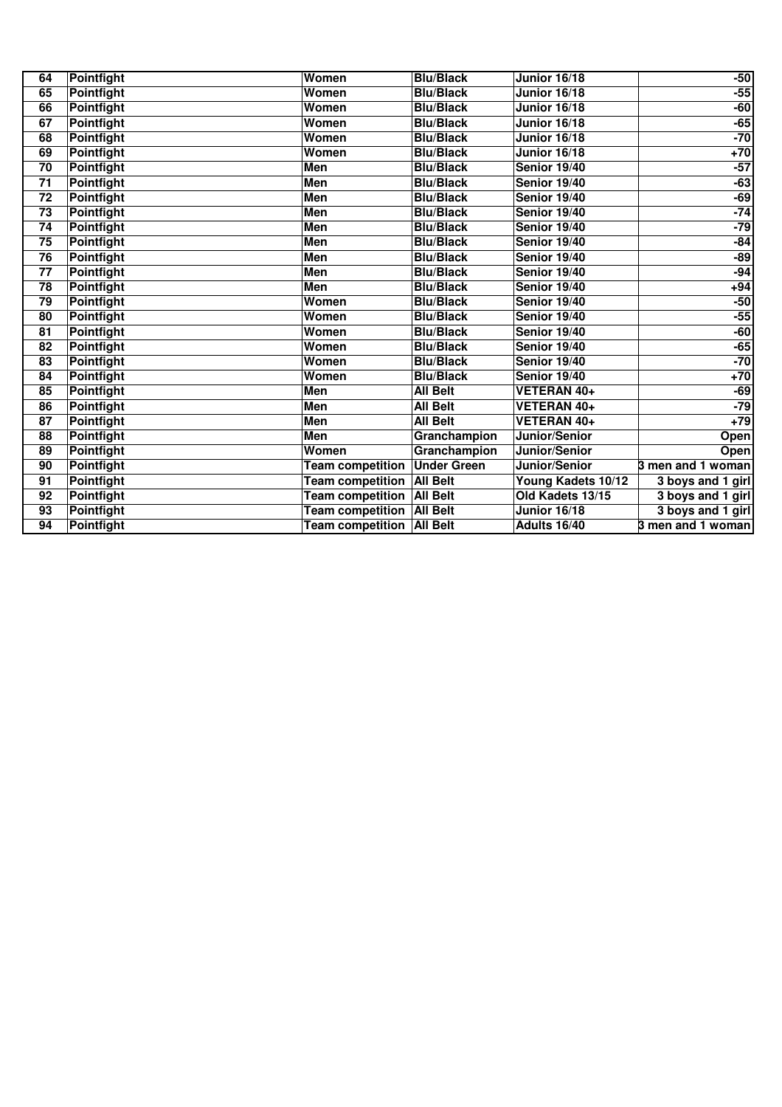| 64 | <b>Pointfight</b> | Women                               | <b>Blu/Black</b> | <b>Junior 16/18</b> | $-50$             |
|----|-------------------|-------------------------------------|------------------|---------------------|-------------------|
| 65 | <b>Pointfight</b> | Women                               | <b>Blu/Black</b> | Junior 16/18        | $-55$             |
| 66 | Pointfight        | Women                               | <b>Blu/Black</b> | Junior 16/18        | $-60$             |
| 67 | <b>Pointfight</b> | Women                               | <b>Blu/Black</b> | Junior 16/18        | $-65$             |
| 68 | <b>Pointfight</b> | Women                               | <b>Blu/Black</b> | <b>Junior 16/18</b> | $-70$             |
| 69 | Pointfight        | Women                               | <b>Blu/Black</b> | <b>Junior 16/18</b> | $+70$             |
| 70 | <b>Pointfight</b> | <b>Men</b>                          | <b>Blu/Black</b> | Senior 19/40        | $-57$             |
| 71 | Pointfight        | <b>Men</b>                          | <b>Blu/Black</b> | <b>Senior 19/40</b> | $-63$             |
| 72 | <b>Pointfight</b> | <b>Men</b>                          | <b>Blu/Black</b> | <b>Senior 19/40</b> | $-69$             |
| 73 | <b>Pointfight</b> | Men                                 | <b>Blu/Black</b> | <b>Senior 19/40</b> | -74               |
| 74 | <b>Pointfight</b> | <b>Men</b>                          | <b>Blu/Black</b> | Senior 19/40        | $-79$             |
| 75 | <b>Pointfight</b> | Men                                 | <b>Blu/Black</b> | <b>Senior 19/40</b> | $-84$             |
| 76 | <b>Pointfight</b> | <b>Men</b>                          | <b>Blu/Black</b> | <b>Senior 19/40</b> | $-89$             |
| 77 | <b>Pointfight</b> | <b>Men</b>                          | <b>Blu/Black</b> | <b>Senior 19/40</b> | $-94$             |
| 78 | <b>Pointfight</b> | Men                                 | <b>Blu/Black</b> | Senior 19/40        | $+94$             |
| 79 | Pointfight        | Women                               | <b>Blu/Black</b> | <b>Senior 19/40</b> | $-50$             |
| 80 | <b>Pointfight</b> | Women                               | <b>Blu/Black</b> | <b>Senior 19/40</b> | $-55$             |
| 81 | <b>Pointfight</b> | Women                               | <b>Blu/Black</b> | <b>Senior 19/40</b> | $-60$             |
| 82 | Pointfight        | Women                               | <b>Blu/Black</b> | <b>Senior 19/40</b> | $-65$             |
| 83 | <b>Pointfight</b> | Women                               | <b>Blu/Black</b> | <b>Senior 19/40</b> | $-70$             |
| 84 | <b>Pointfight</b> | Women                               | <b>Blu/Black</b> | <b>Senior 19/40</b> | $+70$             |
| 85 | Pointfight        | Men                                 | <b>All Belt</b>  | <b>VETERAN 40+</b>  | $-69$             |
| 86 | Pointfight        | <b>Men</b>                          | <b>All Belt</b>  | <b>VETERAN 40+</b>  | $-79$             |
| 87 | Pointfight        | <b>Men</b>                          | <b>All Belt</b>  | <b>VETERAN 40+</b>  | $+79$             |
| 88 | Pointfight        | <b>Men</b>                          | Granchampion     | Junior/Senior       | Open              |
| 89 | <b>Pointfight</b> | Women                               | Granchampion     | Junior/Senior       | Open              |
| 90 | <b>Pointfight</b> | <b>Team competition Under Green</b> |                  | Junior/Senior       | 3 men and 1 woman |
| 91 | <b>Pointfight</b> | <b>Team competition</b>             | <b>All Belt</b>  | Young Kadets 10/12  | 3 boys and 1 girl |
| 92 | Pointfight        | Team competition   All Belt         |                  | Old Kadets 13/15    | 3 boys and 1 girl |
| 93 | Pointfight        | Team competition   All Belt         |                  | <b>Junior 16/18</b> | 3 boys and 1 girl |
| 94 | <b>Pointfight</b> | Team competition   All Belt         |                  | <b>Adults 16/40</b> | 3 men and 1 woman |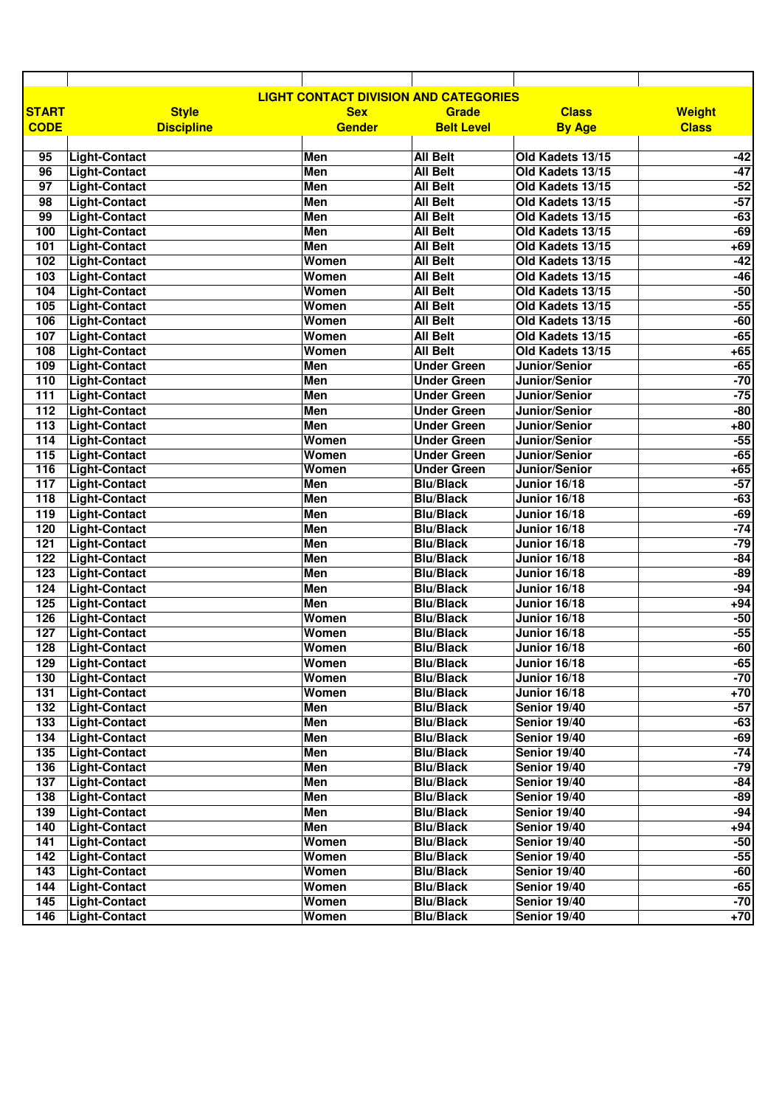|                  | <b>LIGHT CONTACT DIVISION AND CATEGORIES</b> |                |                    |                     |                 |  |
|------------------|----------------------------------------------|----------------|--------------------|---------------------|-----------------|--|
| <b>START</b>     | <b>Style</b>                                 | <b>Sex</b>     | <b>Grade</b>       | <b>Class</b>        | <b>Weight</b>   |  |
| <b>CODE</b>      | <b>Discipline</b>                            | <b>Gender</b>  | <b>Belt Level</b>  | <b>By Age</b>       | <b>Class</b>    |  |
|                  |                                              |                |                    |                     |                 |  |
| 95               | <b>Light-Contact</b>                         | Men            | <b>All Belt</b>    | Old Kadets 13/15    | $-42$           |  |
| 96               | <b>Light-Contact</b>                         | Men            | <b>All Belt</b>    | Old Kadets 13/15    | $-47$           |  |
| 97               | <b>Light-Contact</b>                         | Men            | <b>All Belt</b>    | Old Kadets 13/15    | $-52$           |  |
| 98               | <b>Light-Contact</b>                         | Men            | <b>All Belt</b>    | Old Kadets 13/15    | $-57$           |  |
| 99               | <b>Light-Contact</b>                         | <b>Men</b>     | <b>All Belt</b>    | Old Kadets 13/15    | $-63$           |  |
| 100              | <b>Light-Contact</b>                         | Men            | <b>All Belt</b>    | Old Kadets 13/15    | $-69$           |  |
| 101              | <b>Light-Contact</b>                         | <b>Men</b>     | <b>All Belt</b>    | Old Kadets 13/15    | $+69$           |  |
| 102              | <b>Light-Contact</b>                         | Women          | <b>All Belt</b>    | Old Kadets 13/15    | $-42$           |  |
| 103              | <b>Light-Contact</b>                         | Women          | <b>All Belt</b>    | Old Kadets 13/15    | $-46$           |  |
| 104              | <b>Light-Contact</b>                         | Women          | <b>All Belt</b>    | Old Kadets 13/15    | $-50$           |  |
| 105              | <b>Light-Contact</b>                         | Women          | <b>All Belt</b>    | Old Kadets 13/15    | $-55$           |  |
| 106              | <b>Light-Contact</b>                         | Women          | <b>All Belt</b>    | Old Kadets 13/15    | $\overline{60}$ |  |
| 107              | <b>Light-Contact</b>                         | Women          | <b>All Belt</b>    | Old Kadets 13/15    | $-65$           |  |
| 108              | <b>Light-Contact</b>                         | Women          | <b>All Belt</b>    | Old Kadets 13/15    | $+65$           |  |
| 109              | <b>Light-Contact</b>                         | Men            | <b>Under Green</b> | Junior/Senior       | $-65$           |  |
| 110              | <b>Light-Contact</b>                         | <b>Men</b>     | <b>Under Green</b> | Junior/Senior       | $-70$           |  |
| $\overline{111}$ | <b>Light-Contact</b>                         | <b>Men</b>     | <b>Under Green</b> | Junior/Senior       | $-75$           |  |
| 112              | <b>Light-Contact</b>                         | Men            | <b>Under Green</b> | Junior/Senior       | $-80$           |  |
| 113              | <b>Light-Contact</b>                         | Men            | <b>Under Green</b> | Junior/Senior       | $+80$           |  |
| 114              | <b>Light-Contact</b>                         | Women          | <b>Under Green</b> | Junior/Senior       | $-55$           |  |
| 115              | <b>Light-Contact</b>                         | Women          | <b>Under Green</b> | Junior/Senior       | $-65$           |  |
| 116              | <b>Light-Contact</b>                         | Women          | <b>Under Green</b> | Junior/Senior       | $+65$           |  |
| 117              | <b>Light-Contact</b>                         | <b>Men</b>     | <b>Blu/Black</b>   | <b>Junior 16/18</b> | $-57$           |  |
| 118              | <b>Light-Contact</b>                         | Men            | <b>Blu/Black</b>   | Junior 16/18        | $-63$           |  |
| 119              | <b>Light-Contact</b>                         | Men            | <b>Blu/Black</b>   | <b>Junior 16/18</b> | $-69$           |  |
| 120              | <b>Light-Contact</b>                         | <b>Men</b>     | <b>Blu/Black</b>   | <b>Junior 16/18</b> | $-74$           |  |
| 121              | <b>Light-Contact</b>                         | Men            | <b>Blu/Black</b>   | <b>Junior 16/18</b> | $-79$           |  |
| 122              | <b>Light-Contact</b>                         | Men            | <b>Blu/Black</b>   | <b>Junior 16/18</b> | $-84$           |  |
| 123              | <b>Light-Contact</b>                         | Men            | <b>Blu/Black</b>   | <b>Junior 16/18</b> | $-89$           |  |
| 124              | <b>Light-Contact</b>                         | <b>Men</b>     | <b>Blu/Black</b>   | <b>Junior 16/18</b> | $-94$           |  |
| 125              | <b>Light-Contact</b>                         | Men            | <b>Blu/Black</b>   | Junior 16/18        | $+94$           |  |
| 126              | <b>Light-Contact</b>                         | Women          | <b>Blu/Black</b>   | <b>Junior 16/18</b> | $-50$           |  |
| 127              | <b>Light-Contact</b>                         | Women          | <b>Blu/Black</b>   | <b>Junior 16/18</b> | $-55$           |  |
| 128              | <b>Light-Contact</b>                         | Women          | <b>Blu/Black</b>   | <b>Junior 16/18</b> | $-60$           |  |
| 129              | Light-Contact                                | Women          | <b>Blu/Black</b>   | <b>Junior 16/18</b> | -65             |  |
| 130              | <b>Light-Contact</b>                         | Women          | <b>Blu/Black</b>   | <b>Junior 16/18</b> | $-70$           |  |
| 131              | <b>Light-Contact</b>                         | Women          | <b>Blu/Black</b>   | <b>Junior 16/18</b> | $+70$           |  |
| 132              | <b>Light-Contact</b>                         | Men            | <b>Blu/Black</b>   | <b>Senior 19/40</b> | $-57$           |  |
| 133              | <b>Light-Contact</b>                         | Men            | <b>Blu/Black</b>   | <b>Senior 19/40</b> | $-63$           |  |
| 134              | <b>Light-Contact</b>                         | Men            | <b>Blu/Black</b>   | <b>Senior 19/40</b> | $-69$           |  |
| $\overline{135}$ | <b>Light-Contact</b>                         | Men            | <b>Blu/Black</b>   | <b>Senior 19/40</b> | $-74$           |  |
| 136              | <b>Light-Contact</b>                         | Men            | <b>Blu/Black</b>   | <b>Senior 19/40</b> | $-79$           |  |
| 137              | <b>Light-Contact</b>                         | Men            | <b>Blu/Black</b>   | <b>Senior 19/40</b> | $-84$           |  |
| 138              | <b>Light-Contact</b>                         | Men            | <b>Blu/Black</b>   | <b>Senior 19/40</b> | $-89$           |  |
| 139              | <b>Light-Contact</b>                         | Men            | <b>Blu/Black</b>   | <b>Senior 19/40</b> | $-94$           |  |
| 140              | <b>Light-Contact</b>                         | Men            | <b>Blu/Black</b>   | <b>Senior 19/40</b> | $+94$           |  |
| 141              | <b>Light-Contact</b>                         | Women          | <b>Blu/Black</b>   | <b>Senior 19/40</b> | $-50$           |  |
| 142              | <b>Light-Contact</b>                         | Women          | <b>Blu/Black</b>   | <b>Senior 19/40</b> | $-55$<br>$-60$  |  |
| 143              | <b>Light-Contact</b>                         | Women          | <b>Blu/Black</b>   | <b>Senior 19/40</b> |                 |  |
| 144              | <b>Light-Contact</b>                         | Women<br>Women | <b>Blu/Black</b>   | <b>Senior 19/40</b> | $-65$<br>$-70$  |  |
| 145              | <b>Light-Contact</b>                         |                | <b>Blu/Black</b>   | <b>Senior 19/40</b> |                 |  |
| 146              | <b>Light-Contact</b>                         | Women          | <b>Blu/Black</b>   | <b>Senior 19/40</b> | $+70$           |  |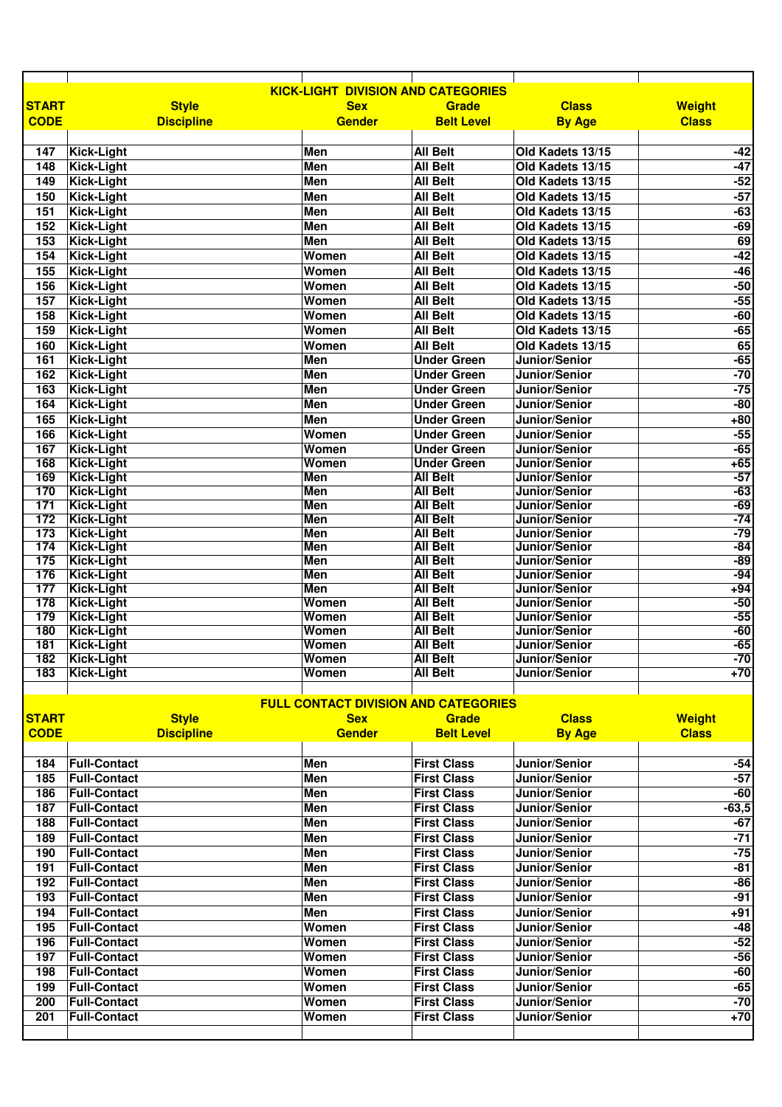|              |                                        | <b>KICK-LIGHT DIVISION AND CATEGORIES</b>   |                                    |                                      |                |
|--------------|----------------------------------------|---------------------------------------------|------------------------------------|--------------------------------------|----------------|
| <b>START</b> | <b>Style</b>                           | <b>Sex</b>                                  | Grade                              | <b>Class</b>                         | <b>Weight</b>  |
| <b>CODE</b>  | <b>Discipline</b>                      | <b>Gender</b>                               | <b>Belt Level</b>                  | <b>By Age</b>                        | <b>Class</b>   |
|              |                                        |                                             |                                    |                                      |                |
| 147          | Kick-Light                             | <b>Men</b>                                  | <b>All Belt</b>                    | Old Kadets 13/15                     | $-42$          |
| 148          | Kick-Light                             | <b>Men</b><br><b>Men</b>                    | <b>All Belt</b><br><b>All Belt</b> | Old Kadets 13/15                     | $-47$          |
| 149<br>150   | <b>Kick-Light</b>                      | Men                                         | <b>All Belt</b>                    | Old Kadets 13/15<br>Old Kadets 13/15 | $-52$<br>$-57$ |
| 151          | <b>Kick-Light</b><br><b>Kick-Light</b> | Men                                         | <b>All Belt</b>                    | Old Kadets 13/15                     | $-63$          |
| 152          | Kick-Light                             | Men                                         | <b>All Belt</b>                    | Old Kadets 13/15                     | $-69$          |
| 153          | <b>Kick-Light</b>                      | Men                                         | <b>All Belt</b>                    | Old Kadets 13/15                     | 69             |
| 154          | <b>Kick-Light</b>                      | Women                                       | <b>All Belt</b>                    | Old Kadets 13/15                     | $-42$          |
| 155          | Kick-Light                             | Women                                       | <b>All Belt</b>                    | Old Kadets 13/15                     | $-46$          |
| 156          | Kick-Light                             | Women                                       | <b>All Belt</b>                    | Old Kadets 13/15                     | $-50$          |
| 157          | <b>Kick-Light</b>                      | Women                                       | <b>All Belt</b>                    | Old Kadets 13/15                     | $-55$          |
| 158          | <b>Kick-Light</b>                      | Women                                       | <b>All Belt</b>                    | Old Kadets 13/15                     | $-60$          |
| 159          | <b>Kick-Light</b>                      | Women                                       | <b>All Belt</b>                    | Old Kadets 13/15                     | $-65$          |
| 160          | Kick-Light                             | Women                                       | <b>All Belt</b>                    | Old Kadets 13/15                     | 65             |
| 161          | Kick-Light                             | Men                                         | <b>Under Green</b>                 | Junior/Senior                        | $-65$          |
| 162          | Kick-Light                             | Men                                         | <b>Under Green</b>                 | Junior/Senior                        | $-70$          |
| 163          | Kick-Light                             | Men                                         | <b>Under Green</b>                 | Junior/Senior                        | $-75$          |
| 164          | Kick-Light                             | Men                                         | <b>Under Green</b>                 | Junior/Senior                        | $-80$          |
| 165          | Kick-Light                             | Men                                         | <b>Under Green</b>                 | Junior/Senior                        | $+80$          |
| 166          | Kick-Light                             | Women                                       | <b>Under Green</b>                 | Junior/Senior                        | $-55$          |
| 167          | <b>Kick-Light</b>                      | Women                                       | <b>Under Green</b>                 | Junior/Senior                        | $-65$          |
| 168          | <b>Kick-Light</b>                      | Women                                       | <b>Under Green</b>                 | Junior/Senior                        | $+65$          |
| 169          | <b>Kick-Light</b>                      | Men                                         | <b>All Belt</b>                    | Junior/Senior                        | $-57$          |
| 170          | <b>Kick-Light</b>                      | <b>Men</b>                                  | <b>All Belt</b>                    | Junior/Senior                        | $-63$          |
| 171          | <b>Kick-Light</b>                      | <b>Men</b>                                  | <b>All Belt</b>                    | Junior/Senior                        | -69            |
| 172          | <b>Kick-Light</b>                      | <b>Men</b>                                  | <b>All Belt</b>                    | Junior/Senior                        | $-74$          |
| 173          | <b>Kick-Light</b>                      | Men                                         | <b>All Belt</b>                    | Junior/Senior                        | $-79$          |
| 174          | <b>Kick-Light</b>                      | Men                                         | <b>All Belt</b>                    | Junior/Senior                        | $-84$          |
| 175          | <b>Kick-Light</b>                      | Men                                         | <b>All Belt</b>                    | Junior/Senior                        | $-89$          |
| 176          | <b>Kick-Light</b>                      | Men                                         | <b>All Belt</b>                    | Junior/Senior                        | $-94$          |
| 177          | <b>Kick-Light</b>                      | <b>Men</b>                                  | <b>All Belt</b>                    | Junior/Senior                        | $+94$          |
| 178<br>179   | <b>Kick-Light</b>                      | Women<br>Women                              | <b>All Belt</b><br><b>All Belt</b> | Junior/Senior<br>Junior/Senior       | $-50$<br>$-55$ |
| 180          | <b>Kick-Light</b><br><b>Kick-Light</b> | Women                                       | <b>All Belt</b>                    | Junior/Senior                        | $-60$          |
| 181          | <b>Kick-Light</b>                      | Women                                       | <b>All Belt</b>                    | Junior/Senior                        | $-65$          |
|              | 182 Kick-Light                         | <b>Women</b>                                | <b>All Belt</b>                    | Junior/Senior                        | $-70$          |
| 183          | <b>Kick-Light</b>                      | Women                                       | <b>All Belt</b>                    | Junior/Senior                        | $+70$          |
|              |                                        |                                             |                                    |                                      |                |
|              |                                        | <b>FULL CONTACT DIVISION AND CATEGORIES</b> |                                    |                                      |                |
| <b>START</b> | <b>Style</b>                           | <b>Sex</b>                                  | Grade                              | <b>Class</b>                         | <b>Weight</b>  |
| <b>CODE</b>  | <b>Discipline</b>                      | Gender                                      | <b>Belt Level</b>                  | <b>By Age</b>                        | <b>Class</b>   |
|              |                                        |                                             |                                    |                                      |                |
| 184          | <b>Full-Contact</b>                    | Men                                         | <b>First Class</b>                 | Junior/Senior                        | $-54$          |
| 185          | <b>Full-Contact</b>                    | Men                                         | <b>First Class</b>                 | Junior/Senior                        | $-57$          |
| 186          | <b>Full-Contact</b>                    | Men                                         | <b>First Class</b>                 | Junior/Senior                        | $-60$          |
| 187          | <b>Full-Contact</b>                    | Men                                         | <b>First Class</b>                 | Junior/Senior                        | $-63,5$        |
| 188          | <b>Full-Contact</b>                    | <b>Men</b>                                  | <b>First Class</b>                 | Junior/Senior                        | $-67$          |
| 189          | <b>Full-Contact</b>                    | Men                                         | <b>First Class</b>                 | Junior/Senior                        | $-71$          |
| 190          | <b>Full-Contact</b>                    | Men                                         | <b>First Class</b>                 | Junior/Senior                        | $-75$          |
| 191          | <b>Full-Contact</b>                    | Men                                         | <b>First Class</b>                 | Junior/Senior                        | $-81$          |
| 192          | <b>Full-Contact</b>                    | <b>Men</b>                                  | <b>First Class</b>                 | Junior/Senior                        | $-86$          |
| 193          | <b>Full-Contact</b>                    | Men                                         | <b>First Class</b>                 | Junior/Senior                        | $-91$          |
| 194          | <b>Full-Contact</b>                    | Men                                         | <b>First Class</b>                 | Junior/Senior                        | $+91$          |
| 195          | <b>Full-Contact</b>                    | Women                                       | <b>First Class</b>                 | Junior/Senior                        | $-48$          |
| 196          | <b>Full-Contact</b>                    | Women                                       | <b>First Class</b>                 | Junior/Senior                        | $-52$          |
| 197          | <b>Full-Contact</b>                    | Women                                       | <b>First Class</b>                 | Junior/Senior                        | $-56$          |
| 198          | <b>Full-Contact</b>                    | Women                                       | <b>First Class</b>                 | Junior/Senior                        | $-60$          |
| 199          | <b>Full-Contact</b>                    | Women                                       | <b>First Class</b>                 | Junior/Senior                        | $-65$          |
| 200          | <b>Full-Contact</b>                    | Women                                       | <b>First Class</b>                 | Junior/Senior                        | $-70$          |
| 201          | <b>Full-Contact</b>                    | Women                                       | <b>First Class</b>                 | Junior/Senior                        | $+70$          |
|              |                                        |                                             |                                    |                                      |                |